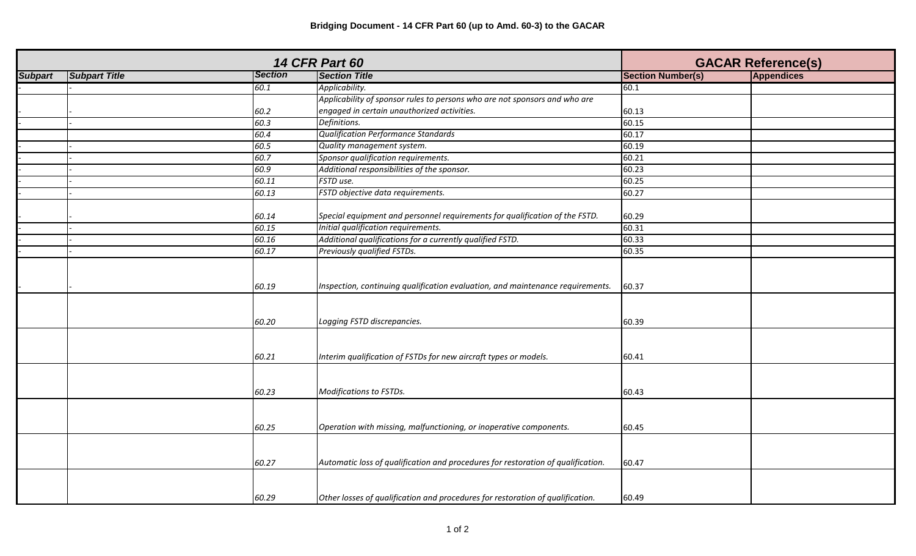|                |                      | <b>GACAR Reference(s)</b> |                                                                                  |                          |                   |
|----------------|----------------------|---------------------------|----------------------------------------------------------------------------------|--------------------------|-------------------|
| <b>Subpart</b> | <b>Subpart Title</b> | <b>Section</b>            | <b>Section Title</b>                                                             | <b>Section Number(s)</b> | <b>Appendices</b> |
|                |                      | 60.1                      | Applicability.                                                                   | 60.1                     |                   |
|                |                      |                           | Applicability of sponsor rules to persons who are not sponsors and who are       |                          |                   |
|                |                      | 60.2                      | engaged in certain unauthorized activities.                                      | 60.13                    |                   |
|                |                      | 60.3                      | Definitions.                                                                     | 60.15                    |                   |
|                |                      | 60.4                      | <b>Qualification Performance Standards</b>                                       | 60.17                    |                   |
|                |                      | 60.5                      | Quality management system.                                                       | 60.19                    |                   |
|                |                      | 60.7                      | Sponsor qualification requirements.                                              | 60.21                    |                   |
|                |                      | 60.9                      | Additional responsibilities of the sponsor.                                      | 60.23                    |                   |
|                |                      | 60.11                     | FSTD use.                                                                        | 60.25                    |                   |
|                |                      | 60.13                     | FSTD objective data requirements.                                                | 60.27                    |                   |
|                |                      |                           |                                                                                  |                          |                   |
|                |                      | 60.14                     | Special equipment and personnel requirements for qualification of the FSTD.      | 60.29                    |                   |
|                |                      | 60.15                     | Initial qualification requirements.                                              | 60.31                    |                   |
|                |                      | 60.16                     | Additional qualifications for a currently qualified FSTD.                        | 60.33                    |                   |
|                |                      | 60.17                     | Previously qualified FSTDs.                                                      | 60.35                    |                   |
|                |                      |                           |                                                                                  |                          |                   |
|                |                      | 60.19                     | Inspection, continuing qualification evaluation, and maintenance requirements.   | 60.37                    |                   |
|                |                      | 60.20                     | Logging FSTD discrepancies.                                                      | 60.39                    |                   |
|                |                      | 60.21                     | Interim qualification of FSTDs for new aircraft types or models.                 | 60.41                    |                   |
|                |                      | 60.23                     | Modifications to FSTDs.                                                          | 60.43                    |                   |
|                |                      | 60.25                     | Operation with missing, malfunctioning, or inoperative components.               | 60.45                    |                   |
|                |                      | 60.27                     | Automatic loss of qualification and procedures for restoration of qualification. | 60.47                    |                   |
|                |                      | 60.29                     | Other losses of qualification and procedures for restoration of qualification.   | 60.49                    |                   |